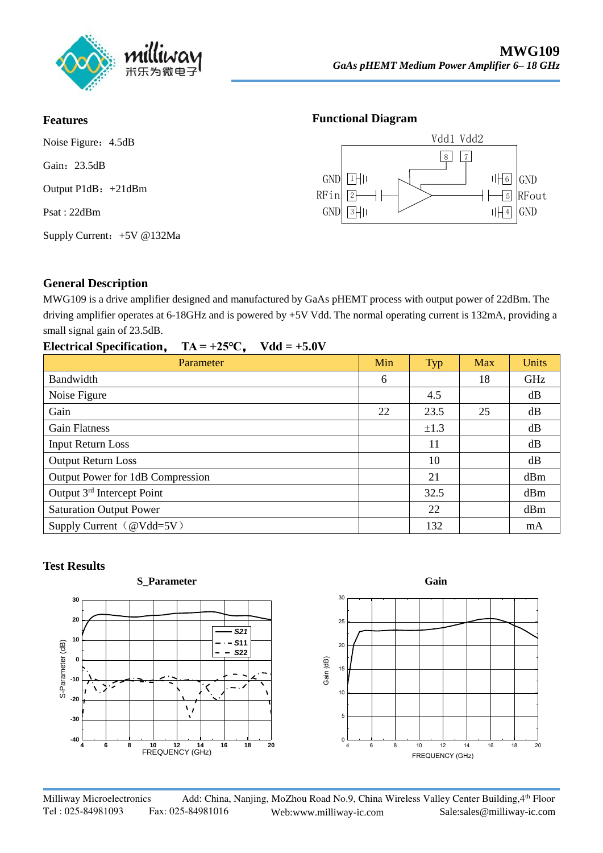

#### **Features**

Noise Figure: 4.5dB Gain: 23.5dB Output P1dB:+21dBm Psat : 22dBm Supply Current:+5V @132Ma

#### **Functional Diagram**



#### **General Description**

MWG109 is a drive amplifier designed and manufactured by GaAs pHEMT process with output power of 22dBm. The driving amplifier operates at 6-18GHz and is powered by +5V Vdd. The normal operating current is 132mA, providing a small signal gain of 23.5dB.

| $TA = +25^{\circ}C$ , $Vdd = +5.0V$<br><b>Electrical Specification,</b> |     |           |     |                 |
|-------------------------------------------------------------------------|-----|-----------|-----|-----------------|
| Parameter                                                               | Min | Typ       | Max | <b>Units</b>    |
| Bandwidth                                                               | 6   |           | 18  | GHz             |
| Noise Figure                                                            |     | 4.5       |     | dB              |
| Gain                                                                    | 22  | 23.5      | 25  | dB              |
| <b>Gain Flatness</b>                                                    |     | $\pm 1.3$ |     | dB              |
| <b>Input Return Loss</b>                                                |     | 11        |     | dB              |
| <b>Output Return Loss</b>                                               |     | 10        |     | dB              |
| Output Power for 1dB Compression                                        |     | 21        |     | dBm             |
| Output 3 <sup>rd</sup> Intercept Point                                  |     | 32.5      |     | d <sub>Bm</sub> |
| <b>Saturation Output Power</b>                                          |     | 22        |     | dBm             |
| Supply Current $(\omega Vdd=5V)$                                        |     | 132       |     | mA              |

#### **Test Results**



Milliway Microelectronics Add: China, Nanjing, MoZhou Road No.9, China Wireless Valley Center Building, 4th Floor Tel : 025-84981093 Fax: 025-84981016 Web:www.milliway-ic.com Sale:sales@milliway-ic.com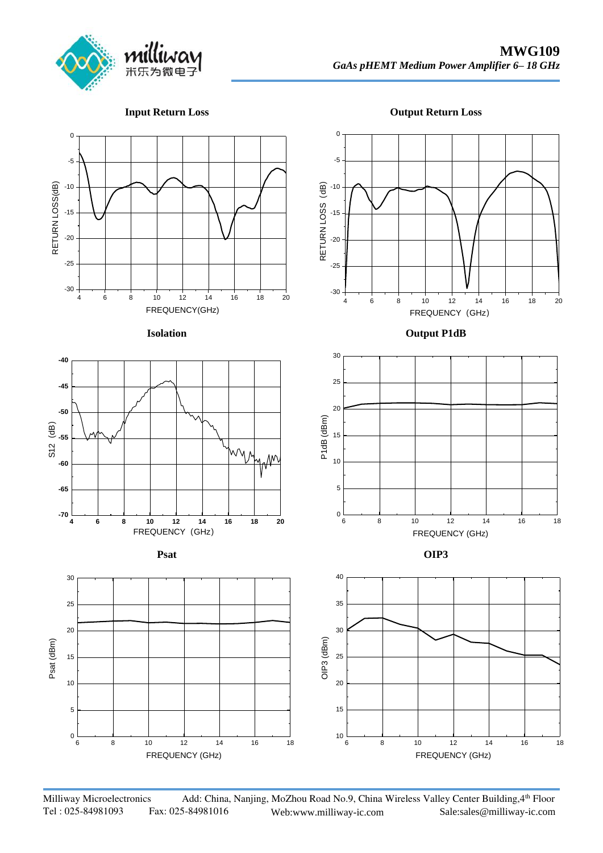

**Input Return Loss**

**Output Return Loss**



Milliway Microelectronics Add: China, Nanjing, MoZhou Road No.9, China Wireless Valley Center Building, 4th Floor Tel : 025-84981093 Fax: 025-84981016 Web:www.milliway-ic.com Sale:sales@milliway-ic.com